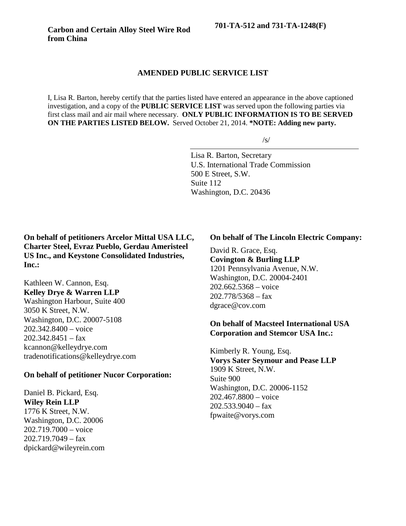## **AMENDED PUBLIC SERVICE LIST**

I, Lisa R. Barton, hereby certify that the parties listed have entered an appearance in the above captioned investigation, and a copy of the **PUBLIC SERVICE LIST** was served upon the following parties via first class mail and air mail where necessary. **ONLY PUBLIC INFORMATION IS TO BE SERVED ON THE PARTIES LISTED BELOW.** Served October 21, 2014. **\*NOTE: Adding new party.**

 $/s/$ 

Lisa R. Barton, Secretary U.S. International Trade Commission 500 E Street, S.W. Suite 112 Washington, D.C. 20436

**On behalf of petitioners Arcelor Mittal USA LLC, Charter Steel, Evraz Pueblo, Gerdau Ameristeel US Inc., and Keystone Consolidated Industries, Inc.:**

Kathleen W. Cannon, Esq. **Kelley Drye & Warren LLP** Washington Harbour, Suite 400 3050 K Street, N.W. Washington, D.C. 20007-5108 202.342.8400 – voice  $202.342.8451 - fax$ kcannon@kelleydrye.com tradenotifications@kelleydrye.com

#### **On behalf of petitioner Nucor Corporation:**

Daniel B. Pickard, Esq. **Wiley Rein LLP** 1776 K Street, N.W. Washington, D.C. 20006 202.719.7000 – voice  $202.719.7049 - fax$ dpickard@wileyrein.com

### **On behalf of The Lincoln Electric Company:**

David R. Grace, Esq. **Covington & Burling LLP** 1201 Pennsylvania Avenue, N.W. Washington, D.C. 20004-2401 202.662.5368 – voice  $202.778/5368 - fax$ dgrace@cov.com

## **On behalf of Macsteel International USA Corporation and Stemcor USA Inc.:**

Kimberly R. Young, Esq. **Vorys Sater Seymour and Pease LLP** 1909 K Street, N.W. Suite 900 Washington, D.C. 20006-1152 202.467.8800 – voice  $202.533.9040 - fax$ fpwaite@vorys.com